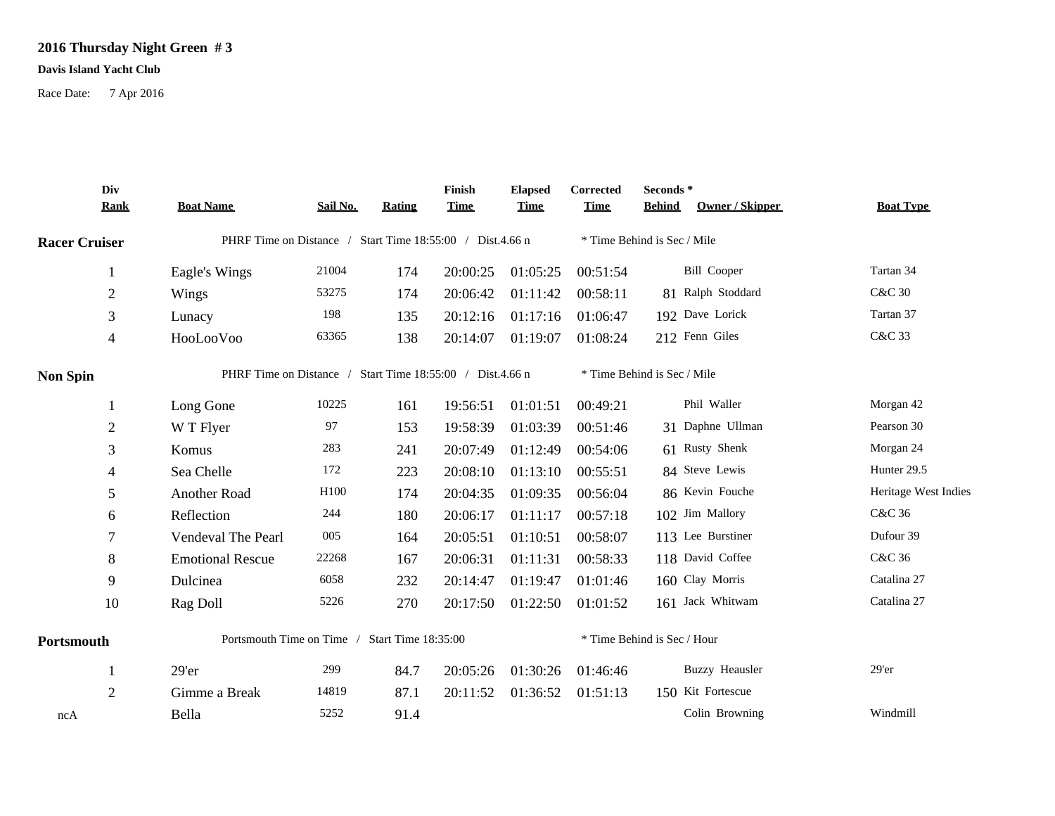## **2016 Thursday Night Green # 3**

## **Davis Island Yacht Club**

Race Date: 7 Apr 2016

|                      | Div<br><b>Rank</b> | <b>Boat Name</b>                                          | Sail No. | Rating                     | Finish<br><b>Time</b> | <b>Elapsed</b><br><b>Time</b> | Corrected<br><b>Time</b> | Seconds*<br>Owner / Skipper<br><b>Behind</b> | <b>Boat Type</b>     |
|----------------------|--------------------|-----------------------------------------------------------|----------|----------------------------|-----------------------|-------------------------------|--------------------------|----------------------------------------------|----------------------|
| <b>Racer Cruiser</b> |                    | PHRF Time on Distance / Start Time 18:55:00 / Dist.4.66 n |          |                            |                       |                               |                          | * Time Behind is Sec / Mile                  |                      |
|                      | 1                  | Eagle's Wings                                             | 21004    | 174                        | 20:00:25              | 01:05:25                      | 00:51:54                 | <b>Bill Cooper</b>                           | Tartan 34            |
|                      | $\mathfrak{2}$     | Wings                                                     | 53275    | 174                        | 20:06:42              | 01:11:42                      | 00:58:11                 | 81 Ralph Stoddard                            | <b>C&amp;C 30</b>    |
|                      | $\mathfrak{Z}$     | Lunacy                                                    | 198      | 135                        | 20:12:16              | 01:17:16                      | 01:06:47                 | 192 Dave Lorick                              | Tartan 37            |
|                      | $\overline{4}$     | HooLooVoo                                                 | 63365    | 138                        | 20:14:07              | 01:19:07                      | 01:08:24                 | 212 Fenn Giles                               | C&C 33               |
| <b>Non Spin</b>      |                    | PHRF Time on Distance / Start Time 18:55:00 / Dist.4.66 n |          |                            |                       |                               |                          | * Time Behind is Sec / Mile                  |                      |
|                      | -1                 | Long Gone                                                 | 10225    | 161                        | 19:56:51              | 01:01:51                      | 00:49:21                 | Phil Waller                                  | Morgan 42            |
|                      | $\overline{2}$     | W T Flyer                                                 | 97       | 153                        | 19:58:39              | 01:03:39                      | 00:51:46                 | 31 Daphne Ullman                             | Pearson 30           |
|                      | 3                  | Komus                                                     | 283      | 241                        | 20:07:49              | 01:12:49                      | 00:54:06                 | 61 Rusty Shenk                               | Morgan 24            |
|                      | $\overline{4}$     | Sea Chelle                                                | 172      | 223                        | 20:08:10              | 01:13:10                      | 00:55:51                 | 84 Steve Lewis                               | Hunter 29.5          |
|                      | 5                  | Another Road                                              | H100     | 174                        | 20:04:35              | 01:09:35                      | 00:56:04                 | 86 Kevin Fouche                              | Heritage West Indies |
|                      | 6                  | Reflection                                                | 244      | 180                        | 20:06:17              | 01:11:17                      | 00:57:18                 | 102 Jim Mallory                              | C&C 36               |
|                      | $\overline{7}$     | Vendeval The Pearl                                        | 005      | 164                        | 20:05:51              | 01:10:51                      | 00:58:07                 | 113 Lee Burstiner                            | Dufour 39            |
|                      | 8                  | <b>Emotional Rescue</b>                                   | 22268    | 167                        | 20:06:31              | 01:11:31                      | 00:58:33                 | 118 David Coffee                             | C&C 36               |
|                      | 9                  | Dulcinea                                                  | 6058     | 232                        | 20:14:47              | 01:19:47                      | 01:01:46                 | 160 Clay Morris                              | Catalina 27          |
|                      | 10                 | Rag Doll                                                  | 5226     | 270                        | 20:17:50              | 01:22:50                      | 01:01:52                 | 161 Jack Whitwam                             | Catalina 27          |
| Portsmouth           |                    | Portsmouth Time on Time /                                 |          | <b>Start Time 18:35:00</b> |                       |                               |                          | * Time Behind is Sec / Hour                  |                      |
|                      | -1                 | 29'er                                                     | 299      | 84.7                       | 20:05:26              | 01:30:26                      | 01:46:46                 | <b>Buzzy Heausler</b>                        | $29'$ er             |
|                      | 2                  | Gimme a Break                                             | 14819    | 87.1                       | 20:11:52              | 01:36:52                      | 01:51:13                 | 150 Kit Fortescue                            |                      |
| ncA                  |                    | Bella                                                     | 5252     | 91.4                       |                       |                               |                          | Colin Browning                               | Windmill             |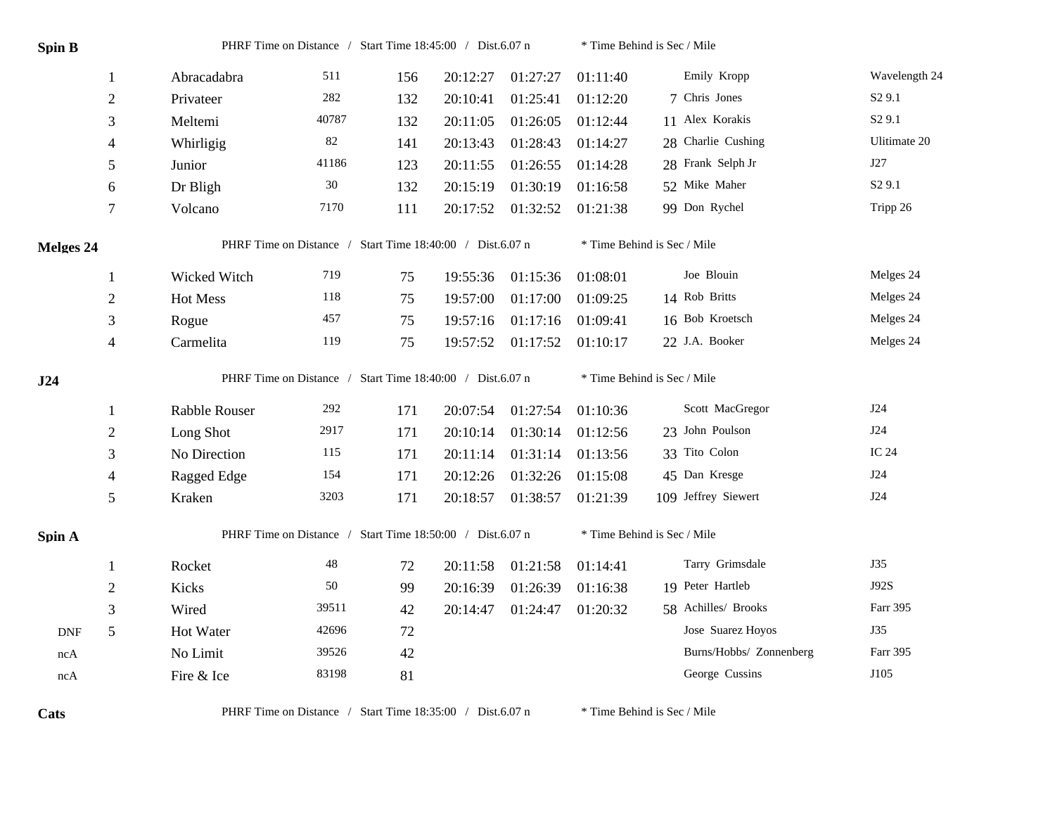| <b>Spin B</b>               |                | PHRF Time on Distance / Start Time 18:45:00 / Dist.6.07 n |        |     |          |          | * Time Behind is Sec / Mile |                         |                    |  |
|-----------------------------|----------------|-----------------------------------------------------------|--------|-----|----------|----------|-----------------------------|-------------------------|--------------------|--|
|                             | -1             | Abracadabra                                               | 511    | 156 | 20:12:27 | 01:27:27 | 01:11:40                    | Emily Kropp             | Wavelength 24      |  |
|                             | $\overline{2}$ | Privateer                                                 | 282    | 132 | 20:10:41 | 01:25:41 | 01:12:20                    | 7 Chris Jones           | S <sub>2</sub> 9.1 |  |
|                             | 3              | Meltemi                                                   | 40787  | 132 | 20:11:05 | 01:26:05 | 01:12:44                    | 11 Alex Korakis         | S <sub>2</sub> 9.1 |  |
|                             | 4              | Whirligig                                                 | $82\,$ | 141 | 20:13:43 | 01:28:43 | 01:14:27                    | 28 Charlie Cushing      | Ulitimate 20       |  |
|                             | 5              | Junior                                                    | 41186  | 123 | 20:11:55 | 01:26:55 | 01:14:28                    | 28 Frank Selph Jr       | J27                |  |
|                             | 6              | Dr Bligh                                                  | $30\,$ | 132 | 20:15:19 | 01:30:19 | 01:16:58                    | 52 Mike Maher           | S <sub>2</sub> 9.1 |  |
|                             | $\tau$         | Volcano                                                   | 7170   | 111 | 20:17:52 | 01:32:52 | 01:21:38                    | 99 Don Rychel           | Tripp 26           |  |
| Melges 24                   |                | PHRF Time on Distance / Start Time 18:40:00 / Dist.6.07 n |        |     |          |          | * Time Behind is Sec / Mile |                         |                    |  |
|                             | 1              | Wicked Witch                                              | 719    | 75  | 19:55:36 | 01:15:36 | 01:08:01                    | Joe Blouin              | Melges 24          |  |
|                             | $\overline{2}$ | Hot Mess                                                  | 118    | 75  | 19:57:00 | 01:17:00 | 01:09:25                    | 14 Rob Britts           | Melges 24          |  |
|                             | 3              | Rogue                                                     | 457    | 75  | 19:57:16 | 01:17:16 | 01:09:41                    | 16 Bob Kroetsch         | Melges 24          |  |
|                             | $\overline{4}$ | Carmelita                                                 | 119    | 75  | 19:57:52 | 01:17:52 | 01:10:17                    | 22 J.A. Booker          | Melges 24          |  |
|                             |                | PHRF Time on Distance / Start Time 18:40:00 / Dist.6.07 n |        |     |          |          | * Time Behind is Sec / Mile |                         |                    |  |
| J24                         |                |                                                           |        |     |          |          |                             |                         |                    |  |
|                             | 1              | Rabble Rouser                                             | 292    | 171 | 20:07:54 | 01:27:54 | 01:10:36                    | Scott MacGregor         | J24                |  |
|                             | $\overline{2}$ | Long Shot                                                 | 2917   | 171 | 20:10:14 | 01:30:14 | 01:12:56                    | 23 John Poulson         | <b>J24</b>         |  |
|                             | 3              | No Direction                                              | 115    | 171 | 20:11:14 | 01:31:14 | 01:13:56                    | 33 Tito Colon           | IC 24              |  |
|                             | $\overline{4}$ | Ragged Edge                                               | 154    | 171 | 20:12:26 | 01:32:26 | 01:15:08                    | 45 Dan Kresge           | J24                |  |
|                             | 5              | Kraken                                                    | 3203   | 171 | 20:18:57 | 01:38:57 | 01:21:39                    | 109 Jeffrey Siewert     | J24                |  |
| Spin A                      |                | PHRF Time on Distance / Start Time 18:50:00 / Dist.6.07 n |        |     |          |          | * Time Behind is Sec / Mile |                         |                    |  |
|                             | -1             | Rocket                                                    | 48     | 72  | 20:11:58 | 01:21:58 | 01:14:41                    | Tarry Grimsdale         | J35                |  |
|                             | $\overline{2}$ | Kicks                                                     | $50\,$ | 99  | 20:16:39 | 01:26:39 | 01:16:38                    | 19 Peter Hartleb        | J92S               |  |
|                             | 3              | Wired                                                     | 39511  | 42  | 20:14:47 | 01:24:47 | 01:20:32                    | 58 Achilles/ Brooks     | Farr 395           |  |
| $\ensuremath{\mathsf{DNF}}$ | 5              | Hot Water                                                 | 42696  | 72  |          |          |                             | Jose Suarez Hoyos       | J35                |  |
| ncA                         |                | No Limit                                                  | 39526  | 42  |          |          |                             | Burns/Hobbs/ Zonnenberg | Farr 395           |  |

Cats PHRF Time on Distance / Start Time 18:35:00 / Dist.6.07 n \* Time Behind is Sec / Mile